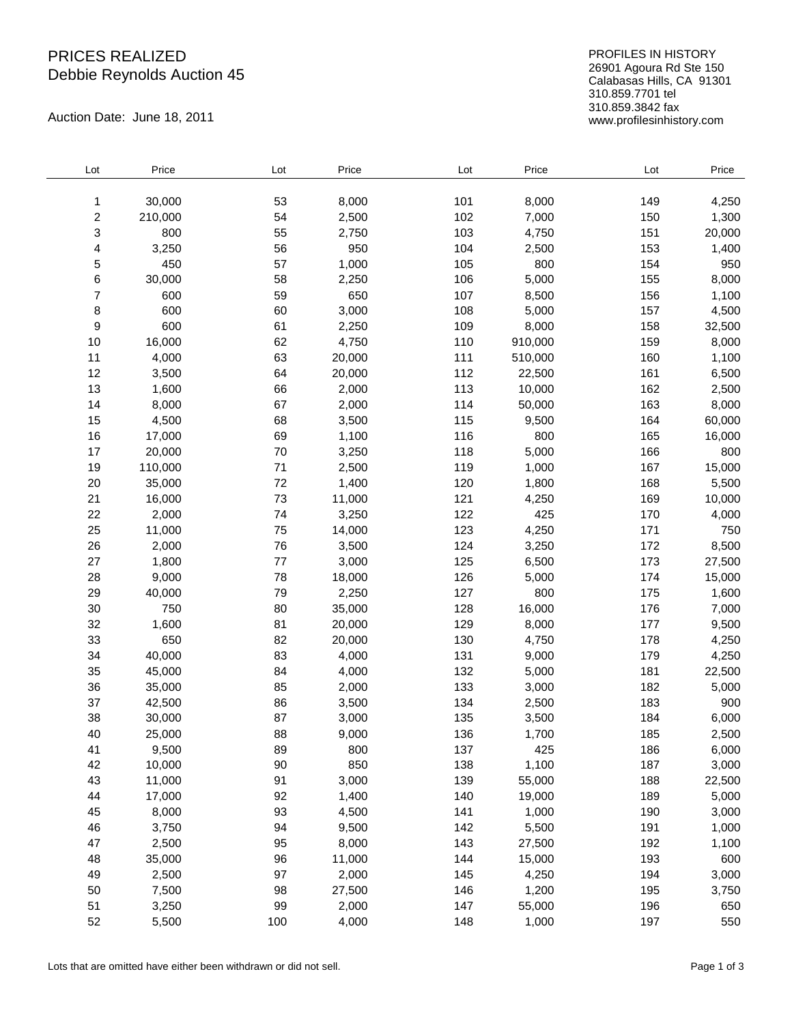## PRICES REALIZED Debbie Reynolds Auction 45

Auction Date: June 18, 2011

PROFILES IN HISTORY 26901 Agoura Rd Ste 150 Calabasas Hills, CA 91301 310.859.7701 tel 310.859.3842 fax www.profilesinhistory.com

| Lot | Price   | Lot     | Price  | Lot | Price   | Lot | Price  |
|-----|---------|---------|--------|-----|---------|-----|--------|
| 1   | 30,000  | 53      | 8,000  | 101 | 8,000   | 149 | 4,250  |
| 2   | 210,000 | 54      | 2,500  | 102 | 7,000   | 150 | 1,300  |
| 3   | 800     | 55      | 2,750  | 103 | 4,750   | 151 | 20,000 |
| 4   | 3,250   | 56      | 950    | 104 | 2,500   | 153 | 1,400  |
| 5   | 450     | 57      | 1,000  | 105 | 800     | 154 | 950    |
| 6   | 30,000  | 58      | 2,250  | 106 | 5,000   | 155 | 8,000  |
| 7   | 600     | 59      | 650    | 107 | 8,500   | 156 | 1,100  |
| 8   | 600     | 60      | 3,000  | 108 | 5,000   | 157 | 4,500  |
| 9   | 600     | 61      | 2,250  | 109 | 8,000   | 158 | 32,500 |
| 10  | 16,000  | 62      | 4,750  | 110 | 910,000 | 159 | 8,000  |
| 11  | 4,000   | 63      | 20,000 | 111 | 510,000 | 160 | 1,100  |
| 12  | 3,500   | 64      | 20,000 | 112 | 22,500  | 161 | 6,500  |
| 13  | 1,600   | 66      | 2,000  | 113 | 10,000  | 162 | 2,500  |
| 14  | 8,000   | 67      | 2,000  | 114 | 50,000  | 163 | 8,000  |
| 15  | 4,500   | 68      | 3,500  | 115 | 9,500   | 164 | 60,000 |
| 16  | 17,000  | 69      | 1,100  | 116 | 800     | 165 | 16,000 |
| 17  | 20,000  | 70      | 3,250  | 118 | 5,000   | 166 | 800    |
| 19  | 110,000 | 71      | 2,500  | 119 | 1,000   | 167 | 15,000 |
| 20  | 35,000  | 72      | 1,400  | 120 | 1,800   | 168 | 5,500  |
| 21  | 16,000  | 73      | 11,000 | 121 | 4,250   | 169 | 10,000 |
| 22  | 2,000   | 74      | 3,250  | 122 | 425     | 170 | 4,000  |
| 25  | 11,000  | 75      | 14,000 | 123 | 4,250   | 171 | 750    |
| 26  | 2,000   | 76      | 3,500  | 124 | 3,250   | 172 | 8,500  |
| 27  | 1,800   | $77 \,$ | 3,000  | 125 | 6,500   | 173 | 27,500 |
| 28  | 9,000   | 78      | 18,000 | 126 | 5,000   | 174 | 15,000 |
| 29  | 40,000  | 79      | 2,250  | 127 | 800     | 175 | 1,600  |
| 30  | 750     | 80      | 35,000 | 128 | 16,000  | 176 | 7,000  |
| 32  | 1,600   | 81      | 20,000 | 129 | 8,000   | 177 | 9,500  |
| 33  | 650     | 82      | 20,000 | 130 | 4,750   | 178 | 4,250  |
| 34  | 40,000  | 83      | 4,000  | 131 | 9,000   | 179 | 4,250  |
| 35  | 45,000  | 84      | 4,000  | 132 | 5,000   | 181 | 22,500 |
| 36  | 35,000  | 85      | 2,000  | 133 | 3,000   | 182 | 5,000  |
| 37  | 42,500  | 86      | 3,500  | 134 | 2,500   | 183 | 900    |
| 38  | 30,000  | 87      | 3,000  | 135 | 3,500   | 184 | 6,000  |
| 40  | 25,000  | 88      | 9,000  | 136 | 1,700   | 185 | 2,500  |
| 41  | 9,500   | 89      | 800    | 137 | 425     | 186 | 6,000  |
| 42  | 10,000  | $90\,$  | 850    | 138 | 1,100   | 187 | 3,000  |
| 43  | 11,000  | 91      | 3,000  | 139 | 55,000  | 188 | 22,500 |
| 44  | 17,000  | 92      | 1,400  | 140 | 19,000  | 189 | 5,000  |
| 45  | 8,000   | 93      | 4,500  | 141 | 1,000   | 190 | 3,000  |
| 46  | 3,750   | 94      | 9,500  | 142 | 5,500   | 191 | 1,000  |
| 47  | 2,500   | 95      | 8,000  | 143 | 27,500  | 192 | 1,100  |
| 48  | 35,000  | 96      | 11,000 | 144 | 15,000  | 193 | 600    |
| 49  | 2,500   | 97      | 2,000  | 145 | 4,250   | 194 | 3,000  |
| 50  | 7,500   | 98      | 27,500 | 146 | 1,200   | 195 | 3,750  |
| 51  | 3,250   | 99      | 2,000  | 147 | 55,000  | 196 | 650    |
| 52  | 5,500   | 100     | 4,000  | 148 | 1,000   | 197 | 550    |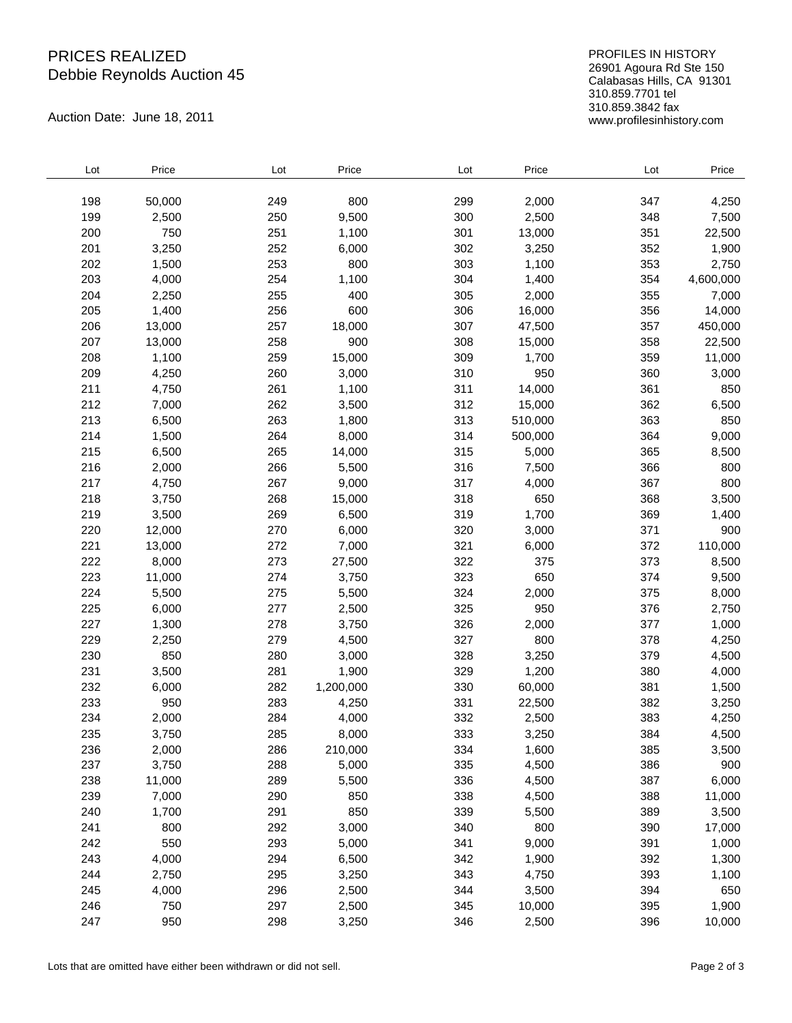## PRICES REALIZED Debbie Reynolds Auction 45

Auction Date: June 18, 2011

PROFILES IN HISTORY 26901 Agoura Rd Ste 150 Calabasas Hills, CA 91301 310.859.7701 tel 310.859.3842 fax www.profilesinhistory.com

| Lot | Price  | Lot | Price     | Lot | Price   | Lot | Price     |
|-----|--------|-----|-----------|-----|---------|-----|-----------|
|     |        |     |           |     |         |     |           |
| 198 | 50,000 | 249 | 800       | 299 | 2,000   | 347 | 4,250     |
| 199 | 2,500  | 250 | 9,500     | 300 | 2,500   | 348 | 7,500     |
| 200 | 750    | 251 | 1,100     | 301 | 13,000  | 351 | 22,500    |
| 201 | 3,250  | 252 | 6,000     | 302 | 3,250   | 352 | 1,900     |
| 202 | 1,500  | 253 | 800       | 303 | 1,100   | 353 | 2,750     |
| 203 | 4,000  | 254 | 1,100     | 304 | 1,400   | 354 | 4,600,000 |
| 204 | 2,250  | 255 | 400       | 305 | 2,000   | 355 | 7,000     |
| 205 | 1,400  | 256 | 600       | 306 | 16,000  | 356 | 14,000    |
| 206 | 13,000 | 257 | 18,000    | 307 | 47,500  | 357 | 450,000   |
| 207 | 13,000 | 258 | 900       | 308 | 15,000  | 358 | 22,500    |
| 208 | 1,100  | 259 | 15,000    | 309 | 1,700   | 359 | 11,000    |
| 209 | 4,250  | 260 | 3,000     | 310 | 950     | 360 | 3,000     |
| 211 | 4,750  | 261 | 1,100     | 311 | 14,000  | 361 | 850       |
| 212 | 7,000  | 262 | 3,500     | 312 | 15,000  | 362 | 6,500     |
| 213 | 6,500  | 263 | 1,800     | 313 | 510,000 | 363 | 850       |
| 214 | 1,500  | 264 | 8,000     | 314 | 500,000 | 364 | 9,000     |
| 215 | 6,500  | 265 | 14,000    | 315 | 5,000   | 365 | 8,500     |
| 216 | 2,000  | 266 | 5,500     | 316 | 7,500   | 366 | 800       |
| 217 | 4,750  | 267 | 9,000     | 317 | 4,000   | 367 | 800       |
| 218 | 3,750  | 268 | 15,000    | 318 | 650     | 368 | 3,500     |
| 219 | 3,500  | 269 | 6,500     | 319 | 1,700   | 369 | 1,400     |
| 220 | 12,000 | 270 | 6,000     | 320 | 3,000   | 371 | 900       |
| 221 | 13,000 | 272 | 7,000     | 321 | 6,000   | 372 | 110,000   |
| 222 | 8,000  | 273 | 27,500    | 322 | 375     | 373 | 8,500     |
| 223 | 11,000 | 274 | 3,750     | 323 | 650     | 374 | 9,500     |
| 224 | 5,500  | 275 | 5,500     | 324 | 2,000   | 375 | 8,000     |
| 225 | 6,000  | 277 | 2,500     | 325 | 950     | 376 | 2,750     |
| 227 | 1,300  | 278 | 3,750     | 326 | 2,000   | 377 | 1,000     |
| 229 | 2,250  | 279 | 4,500     | 327 | 800     | 378 | 4,250     |
| 230 | 850    | 280 | 3,000     | 328 | 3,250   | 379 | 4,500     |
| 231 | 3,500  | 281 | 1,900     | 329 | 1,200   | 380 | 4,000     |
| 232 | 6,000  | 282 | 1,200,000 | 330 | 60,000  | 381 | 1,500     |
| 233 | 950    | 283 | 4,250     | 331 | 22,500  | 382 | 3,250     |
|     |        |     |           |     |         |     |           |
| 234 | 2,000  | 284 | 4,000     | 332 | 2,500   | 383 | 4,250     |
| 235 | 3,750  | 285 | 8,000     | 333 | 3,250   | 384 | 4,500     |
| 236 | 2,000  | 286 | 210,000   | 334 | 1,600   | 385 | 3,500     |
| 237 | 3,750  | 288 | 5,000     | 335 | 4,500   | 386 | 900       |
| 238 | 11,000 | 289 | 5,500     | 336 | 4,500   | 387 | 6,000     |
| 239 | 7,000  | 290 | 850       | 338 | 4,500   | 388 | 11,000    |
| 240 | 1,700  | 291 | 850       | 339 | 5,500   | 389 | 3,500     |
| 241 | 800    | 292 | 3,000     | 340 | 800     | 390 | 17,000    |
| 242 | 550    | 293 | 5,000     | 341 | 9,000   | 391 | 1,000     |
| 243 | 4,000  | 294 | 6,500     | 342 | 1,900   | 392 | 1,300     |
| 244 | 2,750  | 295 | 3,250     | 343 | 4,750   | 393 | 1,100     |
| 245 | 4,000  | 296 | 2,500     | 344 | 3,500   | 394 | 650       |
| 246 | 750    | 297 | 2,500     | 345 | 10,000  | 395 | 1,900     |
| 247 | 950    | 298 | 3,250     | 346 | 2,500   | 396 | 10,000    |